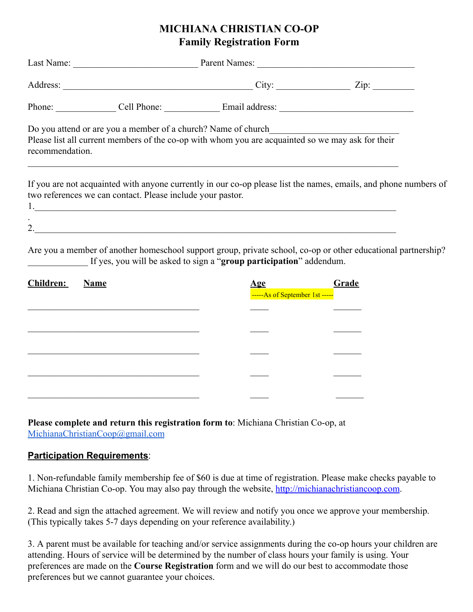## **MICHIANA CHRISTIAN CO-OP Family Registration Form**

|                 |                                                             | Phone: Cell Phone: Cell Phone: Email address: Canadian Contract Contract Cell Phone: Cell Phone: Cell Phone: C                                                                                                                                           |       |  |
|-----------------|-------------------------------------------------------------|----------------------------------------------------------------------------------------------------------------------------------------------------------------------------------------------------------------------------------------------------------|-------|--|
| recommendation. |                                                             | Do you attend or are you a member of a church? Name of church_<br>Please list all current members of the co-op with whom you are acquainted so we may ask for their<br>,我们也不能在这里的时候,我们也不能在这里的时候,我们也不能会在这里的时候,我们也不能会在这里的时候,我们也不能会在这里的时候,我们也不能会在这里的时候,我们也不 |       |  |
|                 | two references we can contact. Please include your pastor.  | If you are not acquainted with anyone currently in our co-op please list the names, emails, and phone numbers of<br>1.                                                                                                                                   |       |  |
|                 |                                                             | Are you a member of another homeschool support group, private school, co-op or other educational partnership?<br>If yes, you will be asked to sign a "group participation" addendum.                                                                     |       |  |
| Children:       | <b>Name</b>                                                 | -----As of September 1st -----                                                                                                                                                                                                                           | Grade |  |
|                 |                                                             |                                                                                                                                                                                                                                                          |       |  |
|                 | <u> 1989 - Johann Stoff, amerikansk politiker (d. 1989)</u> |                                                                                                                                                                                                                                                          |       |  |
|                 |                                                             |                                                                                                                                                                                                                                                          |       |  |
|                 |                                                             |                                                                                                                                                                                                                                                          |       |  |
|                 |                                                             |                                                                                                                                                                                                                                                          |       |  |

**Please complete and return this registration form to**: Michiana Christian Co-op, at [MichianaChristianCoop@gmail.com](mailto:MichianaChristianCoop@gmail.com)

## **Participation Requirements**:

1. Non-refundable family membership fee of \$60 is due at time of registration. Please make checks payable to Michiana Christian Co-op. You may also pay through the website, [http://michianachristiancoop.com.](http://michianachristiancoop.com/)

2. Read and sign the attached agreement. We will review and notify you once we approve your membership. (This typically takes 5-7 days depending on your reference availability.)

3. A parent must be available for teaching and/or service assignments during the co-op hours your children are attending. Hours of service will be determined by the number of class hours your family is using. Your preferences are made on the **Course Registration** form and we will do our best to accommodate those preferences but we cannot guarantee your choices.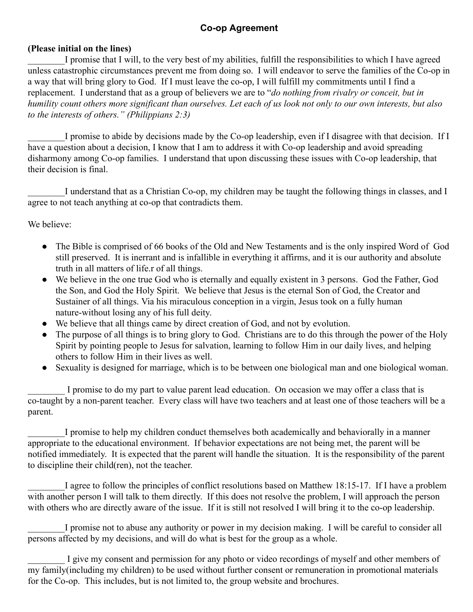## **Co-op Agreement**

## **(Please initial on the lines)**

I promise that I will, to the very best of my abilities, fulfill the responsibilities to which I have agreed unless catastrophic circumstances prevent me from doing so. I will endeavor to serve the families of the Co-op in a way that will bring glory to God. If I must leave the co-op, I will fulfill my commitments until I find a replacement. I understand that as a group of believers we are to "*do nothing from rivalry or conceit, but in humility count others more significant than ourselves. Let each of us look not only to our own interests, but also to the interests of others." (Philippians 2:3)*

I promise to abide by decisions made by the Co-op leadership, even if I disagree with that decision. If I have a question about a decision, I know that I am to address it with Co-op leadership and avoid spreading disharmony among Co-op families. I understand that upon discussing these issues with Co-op leadership, that their decision is final.

I understand that as a Christian Co-op, my children may be taught the following things in classes, and I agree to not teach anything at co-op that contradicts them.

We believe:

- The Bible is comprised of 66 books of the Old and New Testaments and is the only inspired Word of God still preserved. It is inerrant and is infallible in everything it affirms, and it is our authority and absolute truth in all matters of life.r of all things.
- We believe in the one true God who is eternally and equally existent in 3 persons. God the Father, God the Son, and God the Holy Spirit. We believe that Jesus is the eternal Son of God, the Creator and Sustainer of all things. Via his miraculous conception in a virgin, Jesus took on a fully human nature-without losing any of his full deity.
- We believe that all things came by direct creation of God, and not by evolution.
- The purpose of all things is to bring glory to God. Christians are to do this through the power of the Holy Spirit by pointing people to Jesus for salvation, learning to follow Him in our daily lives, and helping others to follow Him in their lives as well.
- Sexuality is designed for marriage, which is to be between one biological man and one biological woman.

I promise to do my part to value parent lead education. On occasion we may offer a class that is co-taught by a non-parent teacher. Every class will have two teachers and at least one of those teachers will be a parent.

I promise to help my children conduct themselves both academically and behaviorally in a manner appropriate to the educational environment. If behavior expectations are not being met, the parent will be notified immediately. It is expected that the parent will handle the situation. It is the responsibility of the parent to discipline their child(ren), not the teacher.

I agree to follow the principles of conflict resolutions based on Matthew 18:15-17. If I have a problem with another person I will talk to them directly. If this does not resolve the problem, I will approach the person with others who are directly aware of the issue. If it is still not resolved I will bring it to the co-op leadership.

\_\_\_\_\_\_\_\_I promise not to abuse any authority or power in my decision making. I will be careful to consider all persons affected by my decisions, and will do what is best for the group as a whole.

I give my consent and permission for any photo or video recordings of myself and other members of my family(including my children) to be used without further consent or remuneration in promotional materials for the Co-op. This includes, but is not limited to, the group website and brochures.